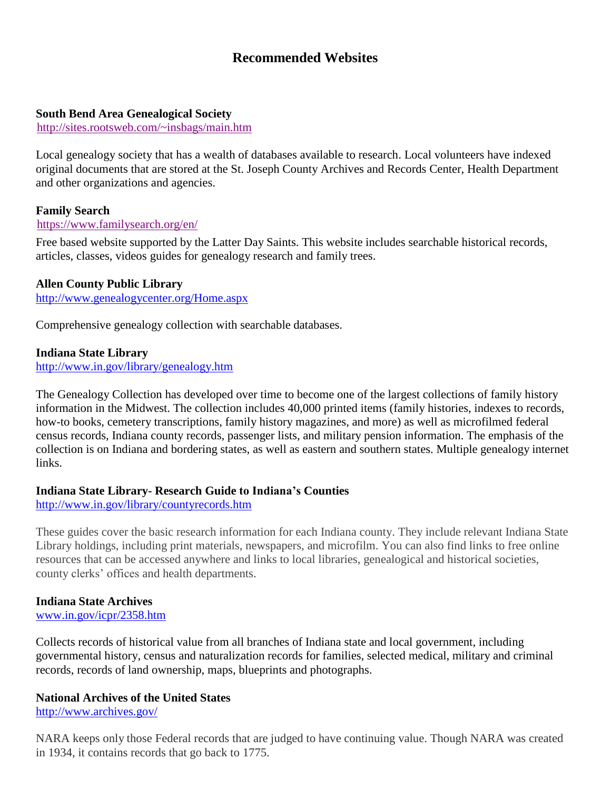# **Recommended Websites**

# **South Bend Area Genealogical Society**

<http://sites.rootsweb.com/~insbags/main.htm>

Local genealogy society that has a wealth of databases available to research. Local volunteers have indexed original documents that are stored at the St. Joseph County Archives and Records Center, Health Department and other organizations and agencies.

# **Family Search**

#### <https://www.familysearch.org/en/>

Free based website supported by the Latter Day Saints. This website includes searchable historical records, articles, classes, videos guides for genealogy research and family trees.

# **Allen County Public Library**

<http://www.genealogycenter.org/Home.aspx>

Comprehensive genealogy collection with searchable databases.

#### **Indiana State Library**

<http://www.in.gov/library/genealogy.htm>

The Genealogy Collection has developed over time to become one of the largest collections of family history information in the Midwest. The collection includes 40,000 printed items (family histories, indexes to records, how-to books, cemetery transcriptions, family history magazines, and more) as well as microfilmed federal census records, Indiana county records, passenger lists, and military pension information. The emphasis of the collection is on Indiana and bordering states, as well as eastern and southern states. Multiple genealogy internet links.

# **Indiana State Library- Research Guide to Indiana's Counties**

<http://www.in.gov/library/countyrecords.htm>

These guides cover the basic research information for each Indiana county. They include relevant Indiana State Library holdings, including print materials, newspapers, and microfilm. You can also find links to free online resources that can be accessed anywhere and links to local libraries, genealogical and historical societies, county clerks' offices and health departments.

# **Indiana State Archives**

[www.in.gov/icpr/2358.htm](http://www.in.gov/icpr/2358.htm)

Collects records of historical value from all branches of Indiana state and local government, including governmental history, census and naturalization records for families, selected medical, military and criminal records, records of land ownership, maps, blueprints and photographs.

# **National Archives of the United States**

<http://www.archives.gov/>

NARA keeps only those Federal records that are judged to have continuing value. Though NARA was created in 1934, it contains records that go back to 1775.